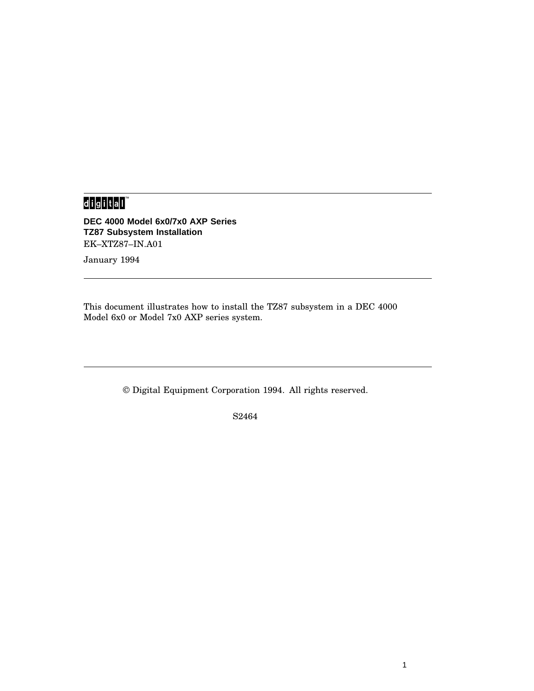## 

**DEC 4000 Model 6x0/7x0 AXP Series TZ87 Subsystem Installation** EK–XTZ87–IN.A01

January 1994

This document illustrates how to install the TZ87 subsystem in a DEC 4000 Model 6x0 or Model 7x0 AXP series system.

© Digital Equipment Corporation 1994. All rights reserved.

S2464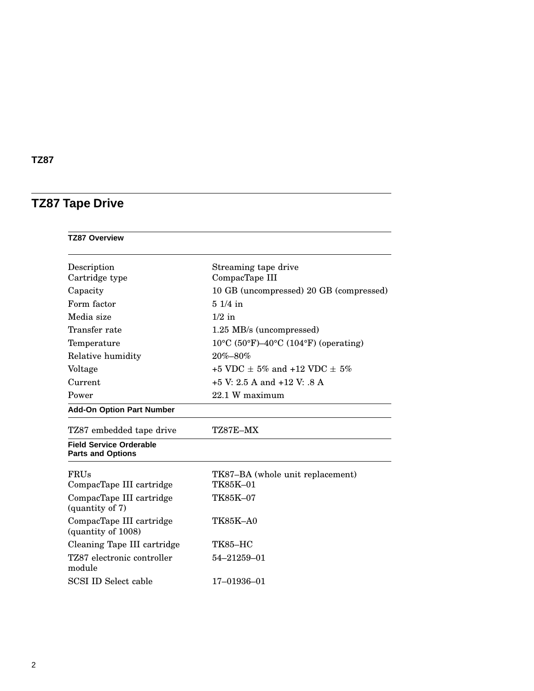# **TZ87 Tape Drive**

| <b>TZ87 Overview</b>                                       |                                                |  |
|------------------------------------------------------------|------------------------------------------------|--|
| Description<br>Cartridge type                              | Streaming tape drive<br>CompacTape III         |  |
| Capacity                                                   | 10 GB (uncompressed) 20 GB (compressed)        |  |
| Form factor                                                | $51/4$ in                                      |  |
| Media size                                                 | $1/2$ in                                       |  |
| Transfer rate                                              | 1.25 MB/s (uncompressed)                       |  |
| Temperature                                                | $10^{\circ}$ C (50°F)–40°C (104°F) (operating) |  |
| Relative humidity                                          | $20\% - 80\%$                                  |  |
| Voltage                                                    | $+5$ VDC + 5% and $+12$ VDC + 5%               |  |
| Current                                                    | $+5$ V: 2.5 A and $+12$ V: .8 A                |  |
| Power                                                      | 22.1 W maximum                                 |  |
| <b>Add-On Option Part Number</b>                           |                                                |  |
| TZ87 embedded tape drive                                   | TZ87E–MX                                       |  |
| <b>Field Service Orderable</b><br><b>Parts and Options</b> |                                                |  |
| FRUs                                                       | TK87-BA (whole unit replacement)               |  |
| CompacTape III cartridge                                   | TK85K-01                                       |  |
| CompacTape III cartridge<br>(quantity of 7)                | TK85K-07                                       |  |
| CompacTape III cartridge<br>(quantity of 1008)             | <b>TK85K-A0</b>                                |  |
| Cleaning Tape III cartridge                                | <b>TK85-HC</b>                                 |  |
| TZ87 electronic controller<br>module                       | 54-21259-01                                    |  |
| SCSI ID Select cable                                       | 17-01936-01                                    |  |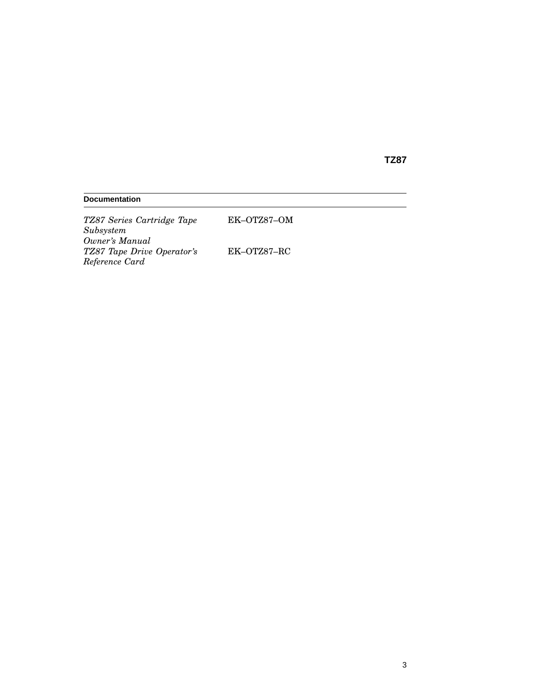| <b>Documentation</b>                         |             |  |  |
|----------------------------------------------|-------------|--|--|
| TZ87 Series Cartridge Tape<br>Subsystem      | EK-OTZ87-OM |  |  |
| Owner's Manual<br>TZ87 Tape Drive Operator's | EK-OTZ87-RC |  |  |

*Reference Card*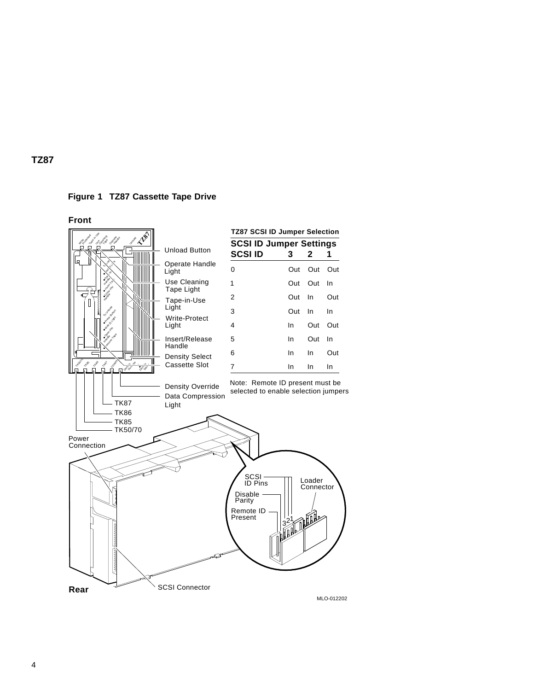

**Front**

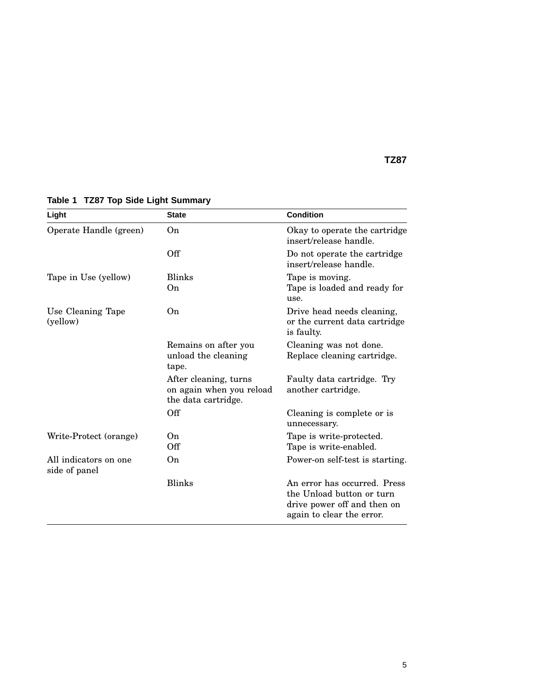| Light                                  | <b>State</b>                                                             | <b>Condition</b>                                                                                                      |
|----------------------------------------|--------------------------------------------------------------------------|-----------------------------------------------------------------------------------------------------------------------|
| Operate Handle (green)                 | 0 <sub>n</sub>                                                           | Okay to operate the cartridge<br>insert/release handle.                                                               |
|                                        | Off                                                                      | Do not operate the cartridge<br>insert/release handle.                                                                |
| Tape in Use (yellow)                   | <b>Blinks</b><br>0n                                                      | Tape is moving.<br>Tape is loaded and ready for<br>use.                                                               |
| Use Cleaning Tape<br>(yellow)          | 0 <sub>n</sub>                                                           | Drive head needs cleaning,<br>or the current data cartridge<br>is faulty.                                             |
|                                        | Remains on after you<br>unload the cleaning<br>tape.                     | Cleaning was not done.<br>Replace cleaning cartridge.                                                                 |
|                                        | After cleaning, turns<br>on again when you reload<br>the data cartridge. | Faulty data cartridge. Try<br>another cartridge.                                                                      |
|                                        | Off                                                                      | Cleaning is complete or is<br>unnecessary.                                                                            |
| Write-Protect (orange)                 | On.<br>Off                                                               | Tape is write-protected.<br>Tape is write-enabled.                                                                    |
| All indicators on one<br>side of panel | On.                                                                      | Power-on self-test is starting.                                                                                       |
|                                        | <b>Blinks</b>                                                            | An error has occurred. Press<br>the Unload button or turn<br>drive power off and then on<br>again to clear the error. |

**Table 1 TZ87 Top Side Light Summary**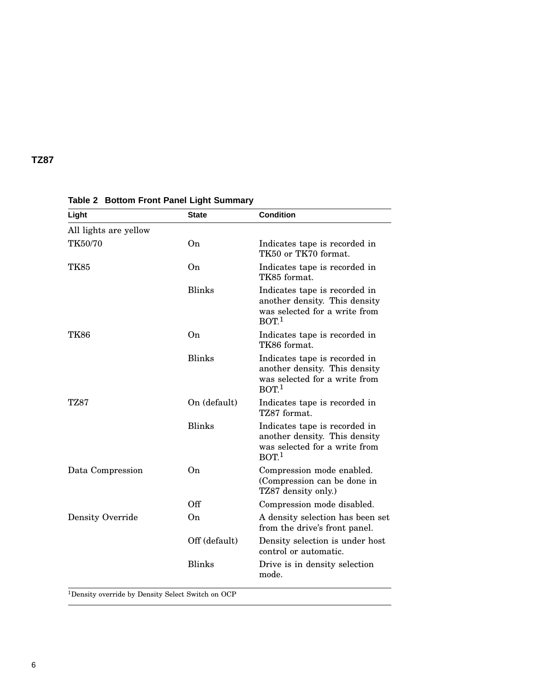| Light                   | <b>State</b>   | <b>Condition</b>                                                                                                    |
|-------------------------|----------------|---------------------------------------------------------------------------------------------------------------------|
| All lights are yellow   |                |                                                                                                                     |
| TK50/70                 | O <sub>n</sub> | Indicates tape is recorded in<br>TK50 or TK70 format.                                                               |
| <b>TK85</b>             | O <sub>n</sub> | Indicates tape is recorded in<br>TK85 format.                                                                       |
|                         | <b>Blinks</b>  | Indicates tape is recorded in<br>another density. This density<br>was selected for a write from<br>BOT <sup>1</sup> |
| <b>TK86</b>             | On             | Indicates tape is recorded in<br>TK86 format.                                                                       |
|                         | <b>Blinks</b>  | Indicates tape is recorded in<br>another density. This density<br>was selected for a write from<br>BOT <sup>1</sup> |
| TZ87                    | On (default)   | Indicates tape is recorded in<br>TZ87 format.                                                                       |
|                         | <b>Blinks</b>  | Indicates tape is recorded in<br>another density. This density<br>was selected for a write from<br>BOT <sup>1</sup> |
| Data Compression        | O <sub>n</sub> | Compression mode enabled.<br>(Compression can be done in<br>TZ87 density only.)                                     |
|                         | Off            | Compression mode disabled.                                                                                          |
| <b>Density Override</b> | O <sub>n</sub> | A density selection has been set<br>from the drive's front panel.                                                   |
|                         | Off (default)  | Density selection is under host<br>control or automatic.                                                            |
|                         | <b>Blinks</b>  | Drive is in density selection<br>mode.                                                                              |

**Table 2 Bottom Front Panel Light Summary**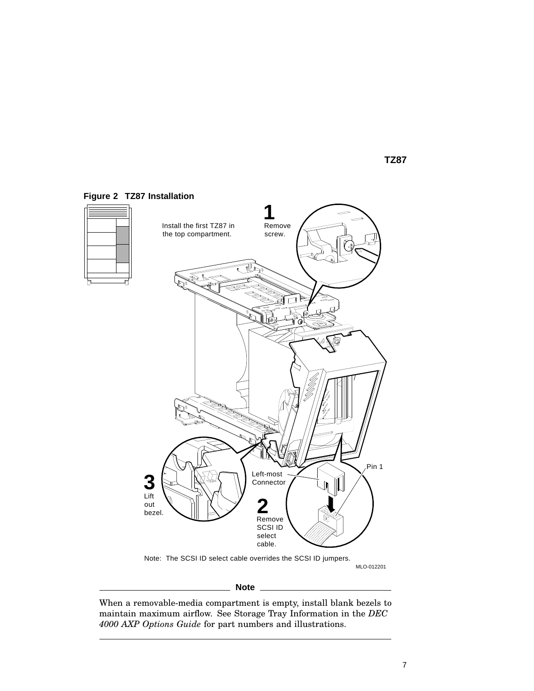

#### **Figure 2 TZ87 Installation**

**Note**

When a removable-media compartment is empty, install blank bezels to maintain maximum airflow. See Storage Tray Information in the *DEC 4000 AXP Options Guide* for part numbers and illustrations.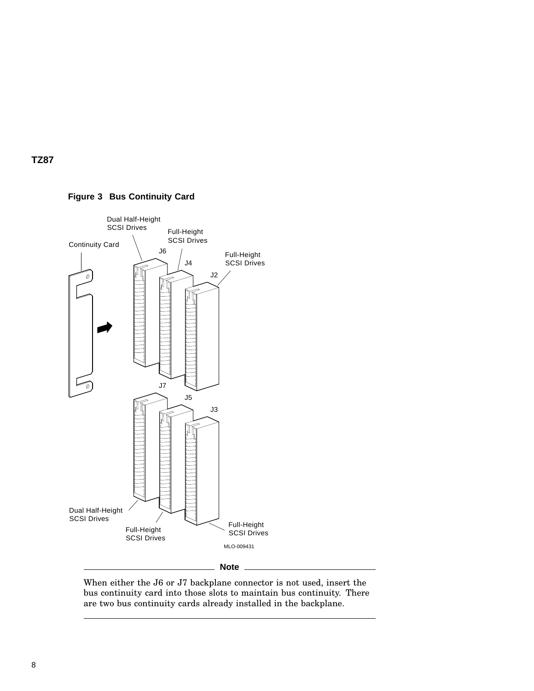

**Figure 3 Bus Continuity Card**

When either the J6 or J7 backplane connector is not used, insert the bus continuity card into those slots to maintain bus continuity. There are two bus continuity cards already installed in the backplane.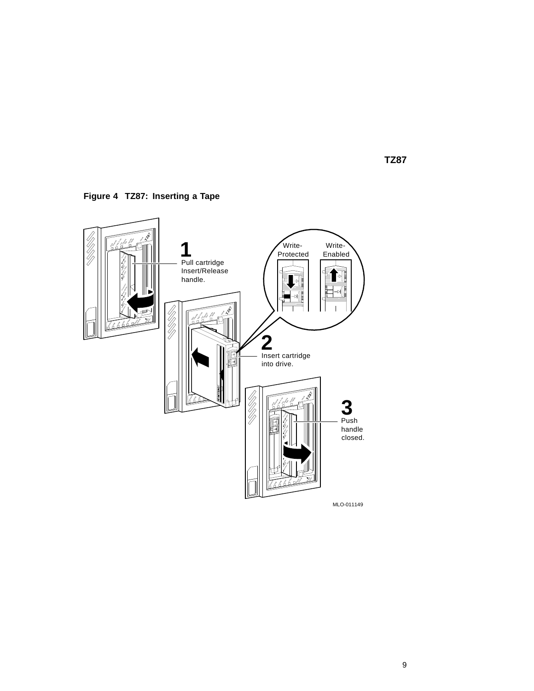**Figure 4 TZ87: Inserting a Tape**